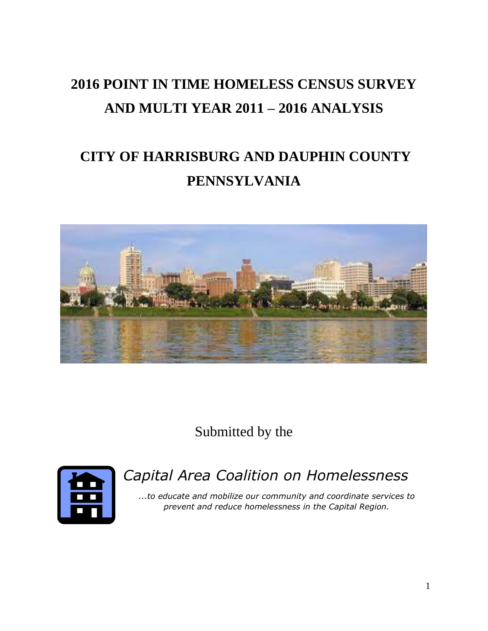# **2016 POINT IN TIME HOMELESS CENSUS SURVEY AND MULTI YEAR 2011 – 2016 ANALYSIS**

# **CITY OF HARRISBURG AND DAUPHIN COUNTY PENNSYLVANIA**



Submitted by the



*Capital Area Coalition on Homelessness*

*...to educate and mobilize our community and coordinate services to prevent and reduce homelessness in the Capital Region.*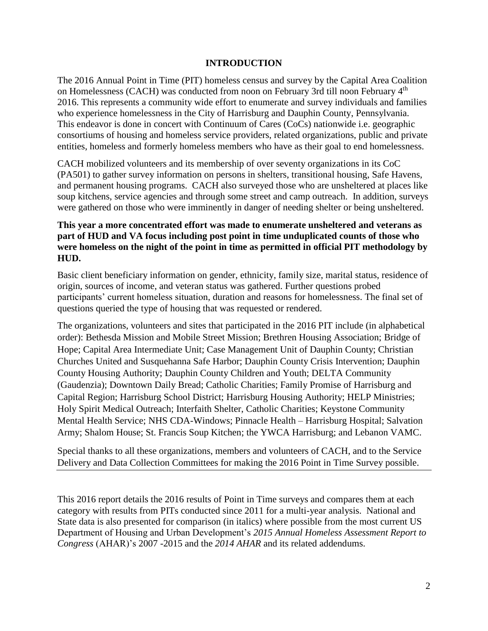#### **INTRODUCTION**

The 2016 Annual Point in Time (PIT) homeless census and survey by the Capital Area Coalition on Homelessness (CACH) was conducted from noon on February 3rd till noon February 4<sup>th</sup> 2016. This represents a community wide effort to enumerate and survey individuals and families who experience homelessness in the City of Harrisburg and Dauphin County, Pennsylvania. This endeavor is done in concert with Continuum of Cares (CoCs) nationwide i.e. geographic consortiums of housing and homeless service providers, related organizations, public and private entities, homeless and formerly homeless members who have as their goal to end homelessness.

CACH mobilized volunteers and its membership of over seventy organizations in its CoC (PA501) to gather survey information on persons in shelters, transitional housing, Safe Havens, and permanent housing programs. CACH also surveyed those who are unsheltered at places like soup kitchens, service agencies and through some street and camp outreach. In addition, surveys were gathered on those who were imminently in danger of needing shelter or being unsheltered.

#### **This year a more concentrated effort was made to enumerate unsheltered and veterans as part of HUD and VA focus including post point in time unduplicated counts of those who were homeless on the night of the point in time as permitted in official PIT methodology by HUD.**

Basic client beneficiary information on gender, ethnicity, family size, marital status, residence of origin, sources of income, and veteran status was gathered. Further questions probed participants' current homeless situation, duration and reasons for homelessness. The final set of questions queried the type of housing that was requested or rendered.

The organizations, volunteers and sites that participated in the 2016 PIT include (in alphabetical order): Bethesda Mission and Mobile Street Mission; Brethren Housing Association; Bridge of Hope; Capital Area Intermediate Unit; Case Management Unit of Dauphin County; Christian Churches United and Susquehanna Safe Harbor; Dauphin County Crisis Intervention; Dauphin County Housing Authority; Dauphin County Children and Youth; DELTA Community (Gaudenzia); Downtown Daily Bread; Catholic Charities; Family Promise of Harrisburg and Capital Region; Harrisburg School District; Harrisburg Housing Authority; HELP Ministries; Holy Spirit Medical Outreach; Interfaith Shelter, Catholic Charities; Keystone Community Mental Health Service; NHS CDA-Windows; Pinnacle Health – Harrisburg Hospital; Salvation Army; Shalom House; St. Francis Soup Kitchen; the YWCA Harrisburg; and Lebanon VAMC.

Special thanks to all these organizations, members and volunteers of CACH, and to the Service Delivery and Data Collection Committees for making the 2016 Point in Time Survey possible.

This 2016 report details the 2016 results of Point in Time surveys and compares them at each category with results from PITs conducted since 2011 for a multi-year analysis. National and State data is also presented for comparison (in italics) where possible from the most current US Department of Housing and Urban Development's *2015 Annual Homeless Assessment Report to Congress* (AHAR)'s 2007 -2015 and the *2014 AHAR* and its related addendums.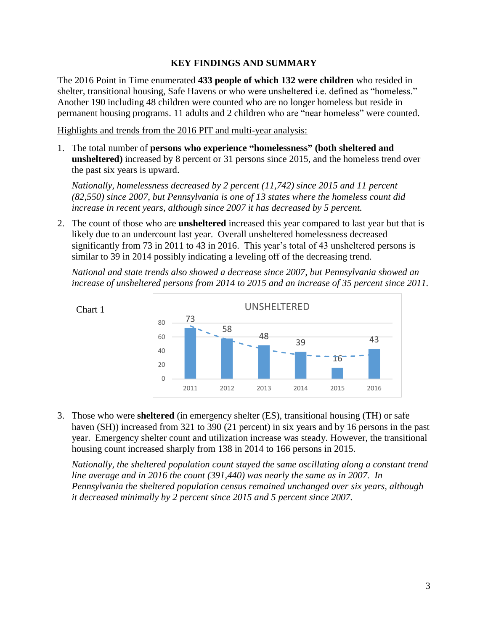#### **KEY FINDINGS AND SUMMARY**

The 2016 Point in Time enumerated **433 people of which 132 were children** who resided in shelter, transitional housing, Safe Havens or who were unsheltered i.e. defined as "homeless." Another 190 including 48 children were counted who are no longer homeless but reside in permanent housing programs. 11 adults and 2 children who are "near homeless" were counted.

Highlights and trends from the 2016 PIT and multi-year analysis:

1. The total number of **persons who experience "homelessness" (both sheltered and unsheltered)** increased by 8 percent or 31 persons since 2015, and the homeless trend over the past six years is upward.

*Nationally, homelessness decreased by 2 percent (11,742) since 2015 and 11 percent (82,550) since 2007, but Pennsylvania is one of 13 states where the homeless count did increase in recent years, although since 2007 it has decreased by 5 percent.* 

2. The count of those who are **unsheltered** increased this year compared to last year but that is likely due to an undercount last year. Overall unsheltered homelessness decreased significantly from 73 in 2011 to 43 in 2016. This year's total of 43 unsheltered persons is similar to 39 in 2014 possibly indicating a leveling off of the decreasing trend.

*National and state trends also showed a decrease since 2007, but Pennsylvania showed an increase of unsheltered persons from 2014 to 2015 and an increase of 35 percent since 2011.*



3. Those who were **sheltered** (in emergency shelter (ES), transitional housing (TH) or safe haven (SH)) increased from 321 to 390 (21 percent) in six years and by 16 persons in the past year. Emergency shelter count and utilization increase was steady. However, the transitional housing count increased sharply from 138 in 2014 to 166 persons in 2015.

*Nationally, the sheltered population count stayed the same oscillating along a constant trend line average and in 2016 the count (391,440) was nearly the same as in 2007. In Pennsylvania the sheltered population census remained unchanged over six years, although it decreased minimally by 2 percent since 2015 and 5 percent since 2007.*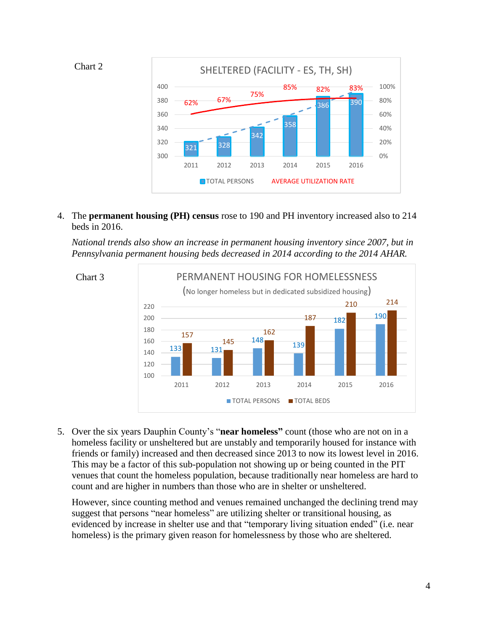



4. The **permanent housing (PH) census** rose to 190 and PH inventory increased also to 214 beds in 2016.

*National trends also show an increase in permanent housing inventory since 2007, but in Pennsylvania permanent housing beds decreased in 2014 according to the 2014 AHAR.*



5. Over the six years Dauphin County's "**near homeless"** count (those who are not on in a homeless facility or unsheltered but are unstably and temporarily housed for instance with friends or family) increased and then decreased since 2013 to now its lowest level in 2016. This may be a factor of this sub-population not showing up or being counted in the PIT venues that count the homeless population, because traditionally near homeless are hard to count and are higher in numbers than those who are in shelter or unsheltered.

However, since counting method and venues remained unchanged the declining trend may suggest that persons "near homeless" are utilizing shelter or transitional housing, as evidenced by increase in shelter use and that "temporary living situation ended" (i.e. near homeless) is the primary given reason for homelessness by those who are sheltered.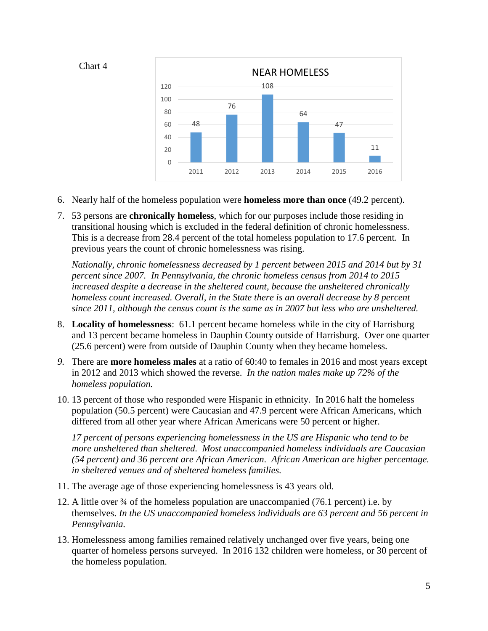

- 6. Nearly half of the homeless population were **homeless more than once** (49.2 percent).
- 7. 53 persons are **chronically homeless**, which for our purposes include those residing in transitional housing which is excluded in the federal definition of chronic homelessness. This is a decrease from 28.4 percent of the total homeless population to 17.6 percent. In previous years the count of chronic homelessness was rising.

*Nationally, chronic homelessness decreased by 1 percent between 2015 and 2014 but by 31 percent since 2007. In Pennsylvania, the chronic homeless census from 2014 to 2015 increased despite a decrease in the sheltered count, because the unsheltered chronically homeless count increased. Overall, in the State there is an overall decrease by 8 percent since 2011, although the census count is the same as in 2007 but less who are unsheltered.* 

- 8. **Locality of homelessness**: 61.1 percent became homeless while in the city of Harrisburg and 13 percent became homeless in Dauphin County outside of Harrisburg. Over one quarter (25.6 percent) were from outside of Dauphin County when they became homeless.
- *9.* There are **more homeless males** at a ratio of 60:40 to females in 2016 and most years except in 2012 and 2013 which showed the reverse. *In the nation males make up 72% of the homeless population.*
- 10. 13 percent of those who responded were Hispanic in ethnicity. In 2016 half the homeless population (50.5 percent) were Caucasian and 47.9 percent were African Americans, which differed from all other year where African Americans were 50 percent or higher.

*17 percent of persons experiencing homelessness in the US are Hispanic who tend to be more unsheltered than sheltered. Most unaccompanied homeless individuals are Caucasian (54 percent) and 36 percent are African American. African American are higher percentage. in sheltered venues and of sheltered homeless families.*

- 11. The average age of those experiencing homelessness is 43 years old.
- 12. A little over ¾ of the homeless population are unaccompanied (76.1 percent) i.e. by themselves. *In the US unaccompanied homeless individuals are 63 percent and 56 percent in Pennsylvania.*
- 13. Homelessness among families remained relatively unchanged over five years, being one quarter of homeless persons surveyed. In 2016 132 children were homeless, or 30 percent of the homeless population.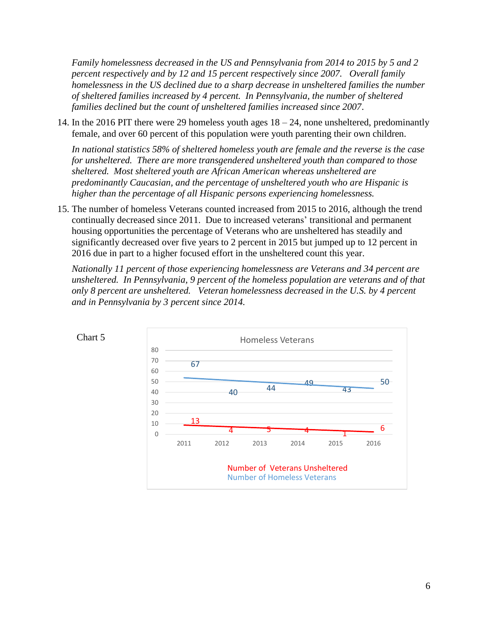*Family homelessness decreased in the US and Pennsylvania from 2014 to 2015 by 5 and 2 percent respectively and by 12 and 15 percent respectively since 2007. Overall family homelessness in the US declined due to a sharp decrease in unsheltered families the number of sheltered families increased by 4 percent. In Pennsylvania, the number of sheltered families declined but the count of unsheltered families increased since 2007*.

14. In the 2016 PIT there were 29 homeless youth ages 18 – 24, none unsheltered, predominantly female, and over 60 percent of this population were youth parenting their own children.

*In national statistics 58% of sheltered homeless youth are female and the reverse is the case for unsheltered. There are more transgendered unsheltered youth than compared to those sheltered. Most sheltered youth are African American whereas unsheltered are predominantly Caucasian, and the percentage of unsheltered youth who are Hispanic is higher than the percentage of all Hispanic persons experiencing homelessness.*

15. The number of homeless Veterans counted increased from 2015 to 2016, although the trend continually decreased since 2011. Due to increased veterans' transitional and permanent housing opportunities the percentage of Veterans who are unsheltered has steadily and significantly decreased over five years to 2 percent in 2015 but jumped up to 12 percent in 2016 due in part to a higher focused effort in the unsheltered count this year.

*Nationally 11 percent of those experiencing homelessness are Veterans and 34 percent are unsheltered. In Pennsylvania, 9 percent of the homeless population are veterans and of that only 8 percent are unsheltered. Veteran homelessness decreased in the U.S. by 4 percent and in Pennsylvania by 3 percent since 2014.* 



Chart 5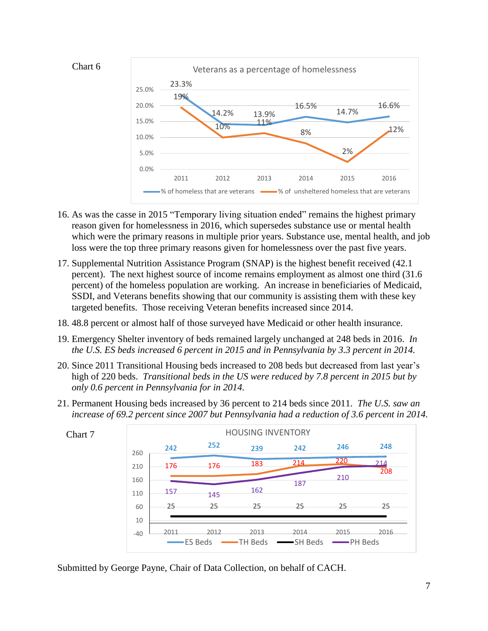

- 16. As was the casse in 2015 "Temporary living situation ended" remains the highest primary reason given for homelessness in 2016, which supersedes substance use or mental health which were the primary reasons in multiple prior years. Substance use, mental health, and job loss were the top three primary reasons given for homelessness over the past five years.
- 17. Supplemental Nutrition Assistance Program (SNAP) is the highest benefit received (42.1 percent). The next highest source of income remains employment as almost one third (31.6 percent) of the homeless population are working. An increase in beneficiaries of Medicaid, SSDI, and Veterans benefits showing that our community is assisting them with these key targeted benefits. Those receiving Veteran benefits increased since 2014.
- 18. 48.8 percent or almost half of those surveyed have Medicaid or other health insurance.
- 19. Emergency Shelter inventory of beds remained largely unchanged at 248 beds in 2016. *In the U.S. ES beds increased 6 percent in 2015 and in Pennsylvania by 3.3 percent in 2014.*
- 20. Since 2011 Transitional Housing beds increased to 208 beds but decreased from last year's high of 220 beds. *Transitional beds in the US were reduced by 7.8 percent in 2015 but by only 0.6 percent in Pennsylvania for in 2014.*
- 21. Permanent Housing beds increased by 36 percent to 214 beds since 2011. *The U.S. saw an increase of 69.2 percent since 2007 but Pennsylvania had a reduction of 3.6 percent in 2014.*



Chart 7

Submitted by George Payne, Chair of Data Collection, on behalf of CACH.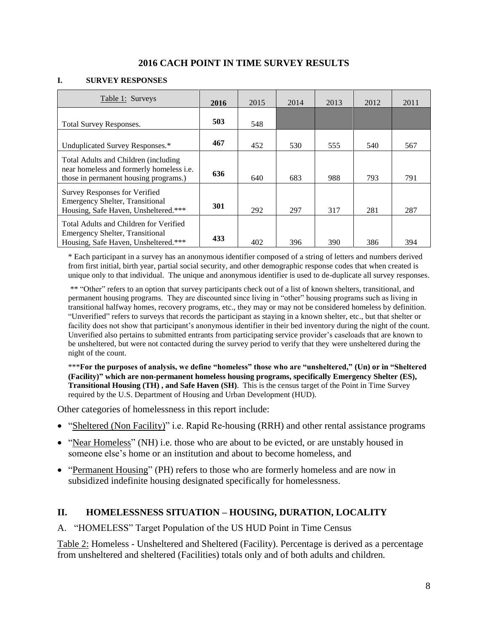#### **2016 CACH POINT IN TIME SURVEY RESULTS**

#### **I. SURVEY RESPONSES**

| Table 1: Surveys                                                                                                           | 2016 | 2015 | 2014 | 2013 | 2012 | 2011 |
|----------------------------------------------------------------------------------------------------------------------------|------|------|------|------|------|------|
| <b>Total Survey Responses.</b>                                                                                             | 503  | 548  |      |      |      |      |
| Unduplicated Survey Responses.*                                                                                            | 467  | 452  | 530  | 555  | 540  | 567  |
| Total Adults and Children (including)<br>near homeless and formerly homeless i.e.<br>those in permanent housing programs.) | 636  | 640  | 683  | 988  | 793  | 791  |
| Survey Responses for Verified<br><b>Emergency Shelter, Transitional</b><br>Housing, Safe Haven, Unsheltered.***            | 301  | 292  | 297  | 317  | 281  | 287  |
| Total Adults and Children for Verified<br><b>Emergency Shelter, Transitional</b><br>Housing, Safe Haven, Unsheltered.***   | 433  | 402  | 396  | 390  | 386  | 394  |

\* Each participant in a survey has an anonymous identifier composed of a string of letters and numbers derived from first initial, birth year, partial social security, and other demographic response codes that when created is unique only to that individual. The unique and anonymous identifier is used to de-duplicate all survey responses.

\*\* "Other" refers to an option that survey participants check out of a list of known shelters, transitional, and permanent housing programs. They are discounted since living in "other" housing programs such as living in transitional halfway homes, recovery programs, etc., they may or may not be considered homeless by definition. "Unverified" refers to surveys that records the participant as staying in a known shelter, etc., but that shelter or facility does not show that participant's anonymous identifier in their bed inventory during the night of the count. Unverified also pertains to submitted entrants from participating service provider's caseloads that are known to be unsheltered, but were not contacted during the survey period to verify that they were unsheltered during the night of the count.

\*\*\***For the purposes of analysis, we define "homeless" those who are "unsheltered," (Un) or in "Sheltered (Facility)" which are non-permanent homeless housing programs, specifically Emergency Shelter (ES), Transitional Housing (TH) , and Safe Haven (SH)**. This is the census target of the Point in Time Survey required by the U.S. Department of Housing and Urban Development (HUD).

Other categories of homelessness in this report include:

- "Sheltered (Non Facility)" i.e. Rapid Re-housing (RRH) and other rental assistance programs
- "Near Homeless" (NH) i.e. those who are about to be evicted, or are unstably housed in someone else's home or an institution and about to become homeless, and
- "Permanent Housing" (PH) refers to those who are formerly homeless and are now in subsidized indefinite housing designated specifically for homelessness.

#### **II. HOMELESSNESS SITUATION – HOUSING, DURATION, LOCALITY**

#### A. "HOMELESS" Target Population of the US HUD Point in Time Census

Table 2: Homeless - Unsheltered and Sheltered (Facility). Percentage is derived as a percentage from unsheltered and sheltered (Facilities) totals only and of both adults and children*.*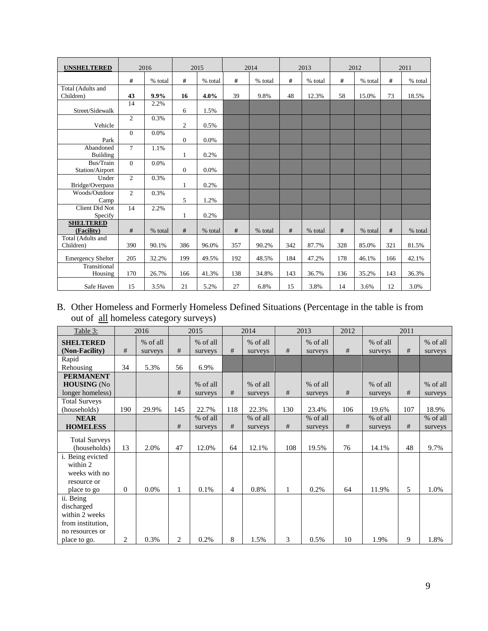| <b>UNSHELTERED</b>               |                | 2016    |                  | 2015    |     | 2014    |     | 2013    |     | 2012    |     | 2011    |
|----------------------------------|----------------|---------|------------------|---------|-----|---------|-----|---------|-----|---------|-----|---------|
|                                  | #              | % total | #                | % total | #   | % total | #   | % total | #   | % total | #   | % total |
| Total (Adults and<br>Children)   | 43             | $9.9\%$ | 16               | 4.0%    | 39  | 9.8%    | 48  | 12.3%   | 58  | 15.0%   | 73  | 18.5%   |
| Street/Sidewalk                  | 14             | 2.2%    | 6                | 1.5%    |     |         |     |         |     |         |     |         |
| Vehicle                          | $\overline{2}$ | 0.3%    | $\boldsymbol{2}$ | 0.5%    |     |         |     |         |     |         |     |         |
| Park                             | $\Omega$       | 0.0%    | $\mathbf{0}$     | 0.0%    |     |         |     |         |     |         |     |         |
| Abandoned<br><b>Building</b>     | $\tau$         | 1.1%    | $\mathbf{1}$     | 0.2%    |     |         |     |         |     |         |     |         |
| Bus/Train<br>Station/Airport     | $\theta$       | 0.0%    | $\mathbf{0}$     | 0.0%    |     |         |     |         |     |         |     |         |
| Under<br>Bridge/Overpass         | $\overline{2}$ | 0.3%    | $\mathbf{1}$     | 0.2%    |     |         |     |         |     |         |     |         |
| Woods/Outdoor<br>Camp            | 2              | 0.3%    | 5                | 1.2%    |     |         |     |         |     |         |     |         |
| <b>Client Did Not</b><br>Specify | 14             | 2.2%    | $\mathbf{1}$     | 0.2%    |     |         |     |         |     |         |     |         |
| <b>SHELTERED</b><br>(Facility)   | #              | % total | #                | % total | #   | % total | #   | % total | #   | % total | #   | % total |
| Total (Adults and<br>Children)   | 390            | 90.1%   | 386              | 96.0%   | 357 | 90.2%   | 342 | 87.7%   | 328 | 85.0%   | 321 | 81.5%   |
| <b>Emergency Shelter</b>         | 205            | 32.2%   | 199              | 49.5%   | 192 | 48.5%   | 184 | 47.2%   | 178 | 46.1%   | 166 | 42.1%   |
| Transitional<br>Housing          | 170            | 26.7%   | 166              | 41.3%   | 138 | 34.8%   | 143 | 36.7%   | 136 | 35.2%   | 143 | 36.3%   |
| Safe Haven                       | 15             | 3.5%    | 21               | 5.2%    | 27  | 6.8%    | 15  | 3.8%    | 14  | 3.6%    | 12  | 3.0%    |

## B. Other Homeless and Formerly Homeless Defined Situations (Percentage in the table is from out of <u>all</u> homeless category surveys)

| Table 3:                                                                                          |                | 2016                |                | 2015                |                | 2014                |     | 2013                | 2012 |                     | 2011 |                     |
|---------------------------------------------------------------------------------------------------|----------------|---------------------|----------------|---------------------|----------------|---------------------|-----|---------------------|------|---------------------|------|---------------------|
| <b>SHELTERED</b><br>(Non-Facility)                                                                | #              | % of all<br>surveys | #              | % of all<br>surveys | #              | % of all<br>surveys | #   | % of all<br>surveys | #    | % of all<br>surveys | #    | % of all<br>surveys |
| Rapid<br>Rehousing                                                                                | 34             | 5.3%                | 56             | 6.9%                |                |                     |     |                     |      |                     |      |                     |
| <b>PERMANENT</b><br><b>HOUSING</b> (No<br>longer homeless)                                        |                |                     | #              | % of all<br>surveys | #              | % of all<br>surveys | #   | % of all<br>surveys | #    | % of all<br>surveys | #    | % of all<br>surveys |
| <b>Total Surveys</b><br>(households)                                                              | 190            | 29.9%               | 145            | 22.7%               | 118            | 22.3%               | 130 | 23.4%               | 106  | 19.6%               | 107  | 18.9%               |
| <b>NEAR</b><br><b>HOMELESS</b>                                                                    |                |                     | #              | % of all<br>surveys | #              | % of all<br>surveys | #   | % of all<br>surveys | #    | % of all<br>surveys | #    | % of all<br>surveys |
| <b>Total Surveys</b><br>(households)                                                              | 13             | 2.0%                | 47             | 12.0%               | 64             | 12.1%               | 108 | 19.5%               | 76   | 14.1%               | 48   | 9.7%                |
| i. Being evicted<br>within 2<br>weeks with no<br>resource or<br>place to go                       | $\overline{0}$ | $0.0\%$             | $\mathbf{1}$   | 0.1%                | $\overline{4}$ | 0.8%                | 1   | 0.2%                | 64   | 11.9%               | 5    | 1.0%                |
| ii. Being<br>discharged<br>within 2 weeks<br>from institution,<br>no resources or<br>place to go. | 2              | 0.3%                | $\overline{c}$ | 0.2%                | 8              | 1.5%                | 3   | 0.5%                | 10   | 1.9%                | 9    | 1.8%                |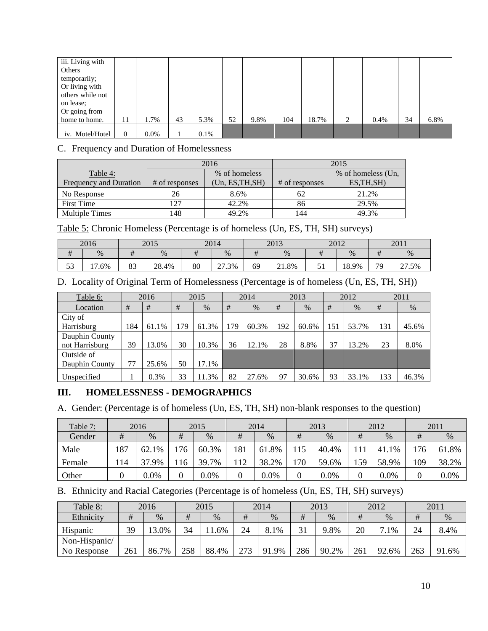| iii. Living with<br>Others |                |         |    |      |    |      |     |       |   |         |    |      |
|----------------------------|----------------|---------|----|------|----|------|-----|-------|---|---------|----|------|
| temporarily;               |                |         |    |      |    |      |     |       |   |         |    |      |
| Or living with             |                |         |    |      |    |      |     |       |   |         |    |      |
| others while not           |                |         |    |      |    |      |     |       |   |         |    |      |
| on lease;                  |                |         |    |      |    |      |     |       |   |         |    |      |
| Or going from              |                |         |    |      |    |      |     |       |   |         |    |      |
| home to home.              | 11             | 1.7%    | 43 | 5.3% | 52 | 9.8% | 104 | 18.7% | 2 | $0.4\%$ | 34 | 6.8% |
| iv. Motel/Hotel            | $\overline{0}$ | $0.0\%$ |    | 0.1% |    |      |     |       |   |         |    |      |

### C. Frequency and Duration of Homelessness

|                               |                | 2016             | 2015           |                    |  |  |  |
|-------------------------------|----------------|------------------|----------------|--------------------|--|--|--|
| Table 4:                      |                | % of homeless    |                | % of homeless (Un, |  |  |  |
| <b>Frequency and Duration</b> | # of responses | (Un, ES, TH, SH) | # of responses | ES, TH, SH)        |  |  |  |
| No Response                   | 26             | 8.6%             | 62             | 21.2%              |  |  |  |
| <b>First Time</b>             | 127            | 42.2%            | 86             | 29.5%              |  |  |  |
| <b>Multiple Times</b>         | 148            | 49.2%            | 144            | 49.3%              |  |  |  |

Table 5: Chronic Homeless (Percentage is of homeless (Un, ES, TH, SH) surveys)

|                   | 2016                  |                | 2015  |    | 2014                           | 2013 |       | 2012    |       | 2011 |       |
|-------------------|-----------------------|----------------|-------|----|--------------------------------|------|-------|---------|-------|------|-------|
| #                 | %                     |                | %     | π  | $\%$                           | #    | %     |         | $\%$  | π    | %     |
| $\epsilon$<br>ر ر | $\overline{ }$<br>.6% | $\circ$<br>OJ. | 28.4% | 80 | $\mathcal{L}$<br>$1.3\%$<br>21 | 69   | 21.8% | -<br>ັ້ | 18.9% | 79   | 27.5% |

## D. Locality of Original Term of Homelessness (Percentage is of homeless (Un, ES, TH, SH))

| Table 6:       |     | 2016  |     | 2015  |     | 2014  |     | 2013  |     | 2012  |     | 2011  |
|----------------|-----|-------|-----|-------|-----|-------|-----|-------|-----|-------|-----|-------|
| Location       | #   | #     | #   | $\%$  | #   | $\%$  | #   | $\%$  | #   | $\%$  | #   | $\%$  |
| City of        |     |       |     |       |     |       |     |       |     |       |     |       |
| Harrisburg     | 184 | 61.1% | 179 | 61.3% | 179 | 60.3% | 192 | 60.6% | 151 | 53.7% | 131 | 45.6% |
| Dauphin County |     |       |     |       |     |       |     |       |     |       |     |       |
| not Harrisburg | 39  | 3.0%  | 30  | 10.3% | 36  | 12.1% | 28  | 8.8%  | 37  | 13.2% | 23  | 8.0%  |
| Outside of     |     |       |     |       |     |       |     |       |     |       |     |       |
| Dauphin County | 77  | 25.6% | 50  | 17.1% |     |       |     |       |     |       |     |       |
| Unspecified    |     | 0.3%  | 33  | 1.3%  | 82  | 27.6% | 97  | 30.6% | 93  | 33.1% | 133 | 46.3% |

## **III. HOMELESSNESS - DEMOGRAPHICS**

A. Gender: (Percentage is of homeless (Un, ES, TH, SH) non-blank responses to the question)

| Table 7: |     | 2016  |     | 2015    |     | 2014    |     | 2013    |     | 2012  |     | 2011  |
|----------|-----|-------|-----|---------|-----|---------|-----|---------|-----|-------|-----|-------|
| Gender   | #   | $\%$  | #   | %       | #   | %       | #   | $\%$    | #   | %     | #   | %     |
| Male     | 187 | 62.1% | !76 | 60.3%   | 181 | 61.8%   | 115 | 40.4%   |     | 41.1% | 176 | 61.8% |
| Female   | 14  | 37.9% | 16  | 39.7%   | .12 | 38.2%   | 170 | 59.6%   | 159 | 58.9% | 109 | 38.2% |
| Other    |     | 0.0%  |     | $0.0\%$ | 0   | $0.0\%$ |     | $0.0\%$ |     | 0.0%  |     | 0.0%  |

#### B. Ethnicity and Racial Categories (Percentage is of homeless (Un, ES, TH, SH) surveys)

| Table 8:        |     | 2016  |     | 2015   |     | 2014      |     | 2013  |     | 2012            |     | 2011  |
|-----------------|-----|-------|-----|--------|-----|-----------|-----|-------|-----|-----------------|-----|-------|
| Ethnicity       | #   | $\%$  | #   | $\%$   | #   | $\%$      |     | $\%$  | #   | %               | #   | %     |
| <b>Hispanic</b> | 39  | 3.0%  | 34  | $.6\%$ | 24  | 8.1%      | 21  | 9.8%  | 20  | ⇁<br>$\cdot$ 1% | 24  | 8.4%  |
| Non-Hispanic/   |     |       |     |        |     |           |     |       |     |                 |     |       |
| No Response     | 261 | 86.7% | 258 | 88.4%  | 273 | 91<br>.9% | 286 | 90.2% | 261 | 92.6%           | 263 | 91.6% |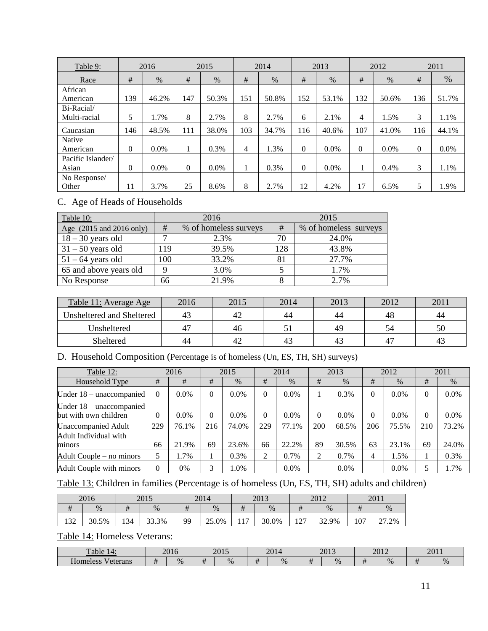| Table 9:          |          | 2016    |          | 2015    |     | 2014  |          | 2013    |          | 2012    |          | 2011  |
|-------------------|----------|---------|----------|---------|-----|-------|----------|---------|----------|---------|----------|-------|
| Race              | #        | $\%$    | #        | $\%$    | #   | %     | #        | %       | #        | %       | #        | $\%$  |
| African           |          |         |          |         |     |       |          |         |          |         |          |       |
| American          | 139      | 46.2%   | 147      | 50.3%   | 151 | 50.8% | 152      | 53.1%   | 132      | 50.6%   | 136      | 51.7% |
| Bi-Racial/        |          |         |          |         |     |       |          |         |          |         |          |       |
| Multi-racial      | 5        | 1.7%    | 8        | 2.7%    | 8   | 2.7%  | 6        | 2.1%    | 4        | 1.5%    | 3        | 1.1%  |
| Caucasian         | 146      | 48.5%   | 111      | 38.0%   | 103 | 34.7% | 116      | 40.6%   | 107      | 41.0%   | 116      | 44.1% |
| Native            |          |         |          |         |     |       |          |         |          |         |          |       |
| American          | $\theta$ | $0.0\%$ | -1       | 0.3%    | 4   | 1.3%  | $\Omega$ | $0.0\%$ | $\theta$ | $0.0\%$ | $\theta$ | 0.0%  |
| Pacific Islander/ |          |         |          |         |     |       |          |         |          |         |          |       |
| Asian             | $\theta$ | 0.0%    | $\Omega$ | $0.0\%$ | 1   | 0.3%  | $\Omega$ | 0.0%    |          | 0.4%    | 3        | 1.1%  |
| No Response/      |          |         |          |         |     |       |          |         |          |         |          |       |
| Other             | 11       | 3.7%    | 25       | 8.6%    | 8   | 2.7%  | 12       | 4.2%    | 17       | 6.5%    | 5        | 1.9%  |

## C. Age of Heads of Households

| Table 10:                |     | 2016                  |     | 2015                  |
|--------------------------|-----|-----------------------|-----|-----------------------|
| Age (2015 and 2016 only) | #   | % of homeless surveys | #   | % of homeless surveys |
| $18 - 30$ years old      | ⇁   | 2.3%                  | 70  | 24.0%                 |
| $31 - 50$ years old      | 119 | 39.5%                 | 128 | 43.8%                 |
| $51 - 64$ years old      | 100 | 33.2%                 | 81  | 27.7%                 |
| 65 and above years old   | 9   | 3.0%                  |     | 1.7%                  |
| No Response              | 66  | 21.9%                 |     | 2.7%                  |

| Table 11: Average Age     | 2016 | 2015 | 2014 | 2013 | 2012           | 201 |
|---------------------------|------|------|------|------|----------------|-----|
| Unsheltered and Sheltered |      | 42   | 44   | 44   | 48             | 44  |
| Unsheltered               |      | 46   |      | 49   | 54             | 50  |
| Sheltered                 | 44   | 42   | 43   |      | 4 <sup>7</sup> | 43  |

## D. Household Composition (Percentage is of homeless (Un, ES, TH, SH) surveys)

| Table 12:                                         |          | 2016    |     | 2015    |          | 2014    |          | 2013    |     | 2012    |          | 2011    |
|---------------------------------------------------|----------|---------|-----|---------|----------|---------|----------|---------|-----|---------|----------|---------|
| Household Type                                    | #        | #       | #   | $\%$    | #        | $\%$    | #        | $\%$    | #   | $\%$    | #        | $\%$    |
| Under $18 -$ unaccompanied                        | $\Omega$ | $0.0\%$ | 0   | $0.0\%$ | $\Omega$ | $0.0\%$ |          | 0.3%    | 0   | $0.0\%$ | $\theta$ | $0.0\%$ |
| Under 18 – unaccompanied<br>but with own children | 0        | $0.0\%$ | 0   | 0.0%    | $\Omega$ | 0.0%    | $\Omega$ | $0.0\%$ | 0   | $0.0\%$ | 0        | 0.0%    |
| <b>Unaccompanied Adult</b>                        | 229      | 76.1%   | 216 | 74.0%   | 229      | 77.1%   | 200      | 68.5%   | 206 | 75.5%   | 210      | 73.2%   |
| Adult Individual with                             |          |         |     |         |          |         |          |         |     |         |          |         |
| minors                                            | 66       | 21.9%   | 69  | 23.6%   | 66       | 22.2%   | 89       | 30.5%   | 63  | 23.1%   | 69       | 24.0%   |
| Adult Couple – no minors                          | 5        | 1.7%    |     | 0.3%    | 2        | 0.7%    | ↑        | 0.7%    | 4   | 1.5%    |          | 0.3%    |
| Adult Couple with minors                          | $\theta$ | $0\%$   | 3   | 1.0%    |          | $0.0\%$ |          | $0.0\%$ |     | $0.0\%$ |          | 1.7%    |

## Table 13: Children in families (Percentage is of homeless (Un, ES, TH, SH) adults and children)

|     | 2016  |              | 2015  |            | 2014  |           | 2013  |                          | 2012  | 2011 |       |  |
|-----|-------|--------------|-------|------------|-------|-----------|-------|--------------------------|-------|------|-------|--|
| #   | $\%$  | $\mathbf{u}$ | $\%$  | $\pm$<br>π | $\%$  | #         | $\%$  | #                        | %     | π    | %     |  |
| 132 | 30.5% | 134          | 33.3% | 99         | 25.0% | 17<br>. . | 30.0% | $\sqrt{7}$<br>$\sqrt{2}$ | 32.9% | 107  | 27.2% |  |

## Table 14: Homeless Veterans:

| $\mathbf{r}$<br>able a       |    | 2016<br>2010 | 2015 | $\mathbf{201}$<br>2014 | 2012<br>$\omega$ |   | 2015<br>2012 |                    | 201<br>2011 |
|------------------------------|----|--------------|------|------------------------|------------------|---|--------------|--------------------|-------------|
| $-$<br>Homeless<br>v eterans | ,, | $\%$         | $\%$ | <br>$\%$               | <br>$\%$         | π | $\%$         | $\overline{1}$<br> | $\%$        |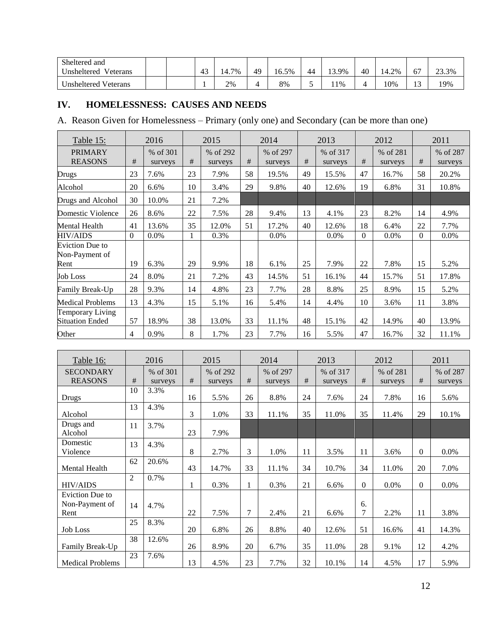| Sheltered and           |  |              |                      |    |       |    |             |    |       |                   |       |
|-------------------------|--|--------------|----------------------|----|-------|----|-------------|----|-------|-------------------|-------|
| Unsheltered<br>Veterans |  | $\sim$<br>40 | 7%<br>$14.7^{\circ}$ | 49 | 16.5% | 44 | <b>3.9%</b> | 40 | 14.2% | 67                | 23.3% |
| Unsheltered Veterans    |  |              | 2%                   |    | 8%    | ັ  | 11%         |    | 10%   | $1^{\circ}$<br>IJ | 19%   |

## **IV. HOMELESSNESS: CAUSES AND NEEDS**

A. Reason Given for Homelessness – Primary (only one) and Secondary (can be more than one)

| Table 15:                                         |                | 2016                |    | 2015                |    | 2014                |    | 2013                |          | 2012                |                | 2011                |
|---------------------------------------------------|----------------|---------------------|----|---------------------|----|---------------------|----|---------------------|----------|---------------------|----------------|---------------------|
| <b>PRIMARY</b><br><b>REASONS</b>                  | $\#$           | % of 301<br>surveys | #  | % of 292<br>surveys | #  | % of 297<br>surveys | #  | % of 317<br>surveys | #        | % of 281<br>surveys | #              | % of 287<br>surveys |
| Drugs                                             | 23             | 7.6%                | 23 | 7.9%                | 58 | 19.5%               | 49 | 15.5%               | 47       | 16.7%               | 58             | 20.2%               |
| Alcohol                                           | 20             | 6.6%                | 10 | 3.4%                | 29 | 9.8%                | 40 | 12.6%               | 19       | 6.8%                | 31             | 10.8%               |
| Drugs and Alcohol                                 | 30             | 10.0%               | 21 | 7.2%                |    |                     |    |                     |          |                     |                |                     |
| Domestic Violence                                 | 26             | 8.6%                | 22 | 7.5%                | 28 | 9.4%                | 13 | 4.1%                | 23       | 8.2%                | 14             | 4.9%                |
| Mental Health                                     | 41             | 13.6%               | 35 | 12.0%               | 51 | 17.2%               | 40 | 12.6%               | 18       | 6.4%                | 22             | 7.7%                |
| <b>HIV/AIDS</b>                                   | $\Omega$       | 0.0%                | 1  | 0.3%                |    | $0.0\%$             |    | $0.0\%$             | $\theta$ | $0.0\%$             | $\overline{0}$ | 0.0%                |
| Eviction Due to<br>Non-Payment of<br>Rent         | 19             | 6.3%                | 29 | 9.9%                | 18 | 6.1%                | 25 | 7.9%                | 22       | 7.8%                | 15             | 5.2%                |
| <b>Job Loss</b>                                   | 24             | 8.0%                | 21 | 7.2%                | 43 | 14.5%               | 51 | 16.1%               | 44       | 15.7%               | 51             | 17.8%               |
| Family Break-Up                                   | 28             | 9.3%                | 14 | 4.8%                | 23 | 7.7%                | 28 | 8.8%                | 25       | 8.9%                | 15             | 5.2%                |
| <b>Medical Problems</b>                           | 13             | 4.3%                | 15 | 5.1%                | 16 | 5.4%                | 14 | 4.4%                | 10       | 3.6%                | 11             | 3.8%                |
| <b>Temporary Living</b><br><b>Situation Ended</b> | 57             | 18.9%               | 38 | 13.0%               | 33 | 11.1%               | 48 | 15.1%               | 42       | 14.9%               | 40             | 13.9%               |
| Other                                             | $\overline{4}$ | 0.9%                | 8  | 1.7%                | 23 | 7.7%                | 16 | 5.5%                | 47       | 16.7%               | 32             | 11.1%               |

| Table 16:                                 |      | 2016                |    | 2015                |    | 2014                |    | 2013                |          | 2012                |                | 2011                |
|-------------------------------------------|------|---------------------|----|---------------------|----|---------------------|----|---------------------|----------|---------------------|----------------|---------------------|
| <b>SECONDARY</b><br><b>REASONS</b>        | $\#$ | % of 301<br>surveys | #  | % of 292<br>surveys | #  | % of 297<br>surveys | #  | % of 317<br>surveys | #        | % of 281<br>surveys | #              | % of 287<br>surveys |
| Drugs                                     | 10   | 3.3%                | 16 | 5.5%                | 26 | 8.8%                | 24 | 7.6%                | 24       | 7.8%                | 16             | 5.6%                |
| Alcohol                                   | 13   | 4.3%                | 3  | 1.0%                | 33 | 11.1%               | 35 | 11.0%               | 35       | 11.4%               | 29             | 10.1%               |
| Drugs and<br>Alcohol                      | 11   | 3.7%                | 23 | 7.9%                |    |                     |    |                     |          |                     |                |                     |
| Domestic<br>Violence                      | 13   | 4.3%                | 8  | 2.7%                | 3  | 1.0%                | 11 | 3.5%                | 11       | 3.6%                | $\overline{0}$ | $0.0\%$             |
| <b>Mental Health</b>                      | 62   | 20.6%               | 43 | 14.7%               | 33 | 11.1%               | 34 | 10.7%               | 34       | 11.0%               | 20             | 7.0%                |
| <b>HIV/AIDS</b>                           | 2    | 0.7%                | 1  | 0.3%                | 1  | 0.3%                | 21 | 6.6%                | $\Omega$ | $0.0\%$             | $\Omega$       | $0.0\%$             |
| Eviction Due to<br>Non-Payment of<br>Rent | 14   | 4.7%                | 22 | 7.5%                | 7  | 2.4%                | 21 | 6.6%                | 6.<br>7  | 2.2%                | 11             | 3.8%                |
| <b>Job Loss</b>                           | 25   | 8.3%                | 20 | 6.8%                | 26 | 8.8%                | 40 | 12.6%               | 51       | 16.6%               | 41             | 14.3%               |
| Family Break-Up                           | 38   | 12.6%               | 26 | 8.9%                | 20 | 6.7%                | 35 | 11.0%               | 28       | 9.1%                | 12             | 4.2%                |
| <b>Medical Problems</b>                   | 23   | 7.6%                | 13 | 4.5%                | 23 | 7.7%                | 32 | 10.1%               | 14       | 4.5%                | 17             | 5.9%                |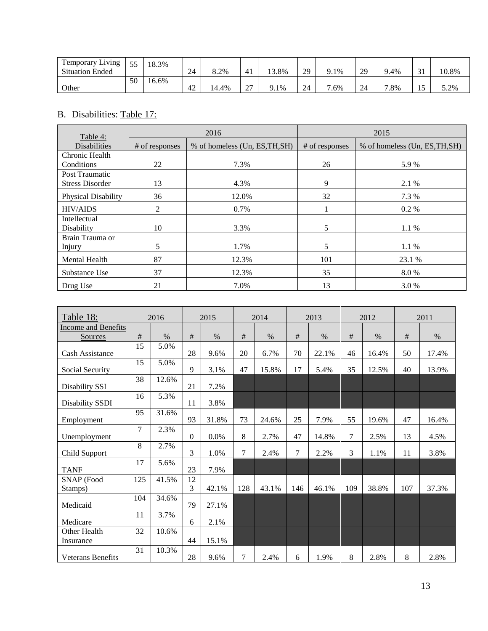| <b>Temporary Living</b><br>m | 55 | 18.3% |    |       |                |              |    |      |    |        |                |       |
|------------------------------|----|-------|----|-------|----------------|--------------|----|------|----|--------|----------------|-------|
| <b>Situation Ended</b>       |    |       | 24 | 8.2%  | 4 <sub>1</sub> | 13.8%        | 29 | 9.1% | 29 | 9.4%   | $\sim$<br>◡▴   | 10.8% |
|                              | 50 | 16.6% |    |       |                |              |    |      |    |        |                |       |
| Other                        |    |       | 42 | 14.4% | $\sim$<br>Δ.   | $0.1\%$<br>u | 24 | 7.6% | 24 | $.8\%$ | $\overline{a}$ | 5.2%  |

## B. Disabilities: Table 17:

| Table 4:               |                | 2016                           |                | 2015                           |
|------------------------|----------------|--------------------------------|----------------|--------------------------------|
| <b>Disabilities</b>    | # of responses | % of homeless (Un, ES, TH, SH) | # of responses | % of homeless (Un, ES, TH, SH) |
| Chronic Health         |                |                                |                |                                |
| Conditions             | 22             | 7.3%                           | 26             | 5.9%                           |
| Post Traumatic         |                |                                |                |                                |
| <b>Stress Disorder</b> | 13             | 4.3%                           | 9              | 2.1 %                          |
| Physical Disability    | 36             | 12.0%                          | 32             | 7.3 %                          |
| <b>HIV/AIDS</b>        | 2              | 0.7%                           |                | $0.2\%$                        |
| Intellectual           |                |                                |                |                                |
| Disability             | 10             | 3.3%                           | 5              | 1.1 %                          |
| Brain Trauma or        |                |                                |                |                                |
| Injury                 | 5              | 1.7%                           | 5              | 1.1 %                          |
| <b>Mental Health</b>   | 87             | 12.3%                          | 101            | 23.1 %                         |
| Substance Use          | 37             | 12.3%                          | 35             | 8.0%                           |
| Drug Use               | 21             | 7.0%                           | 13             | 3.0 %                          |

| Table 18:                  |     | 2016  |                | 2015  |     | 2014  |                | 2013  |     | 2012          |     | 2011  |
|----------------------------|-----|-------|----------------|-------|-----|-------|----------------|-------|-----|---------------|-----|-------|
| <b>Income and Benefits</b> |     |       |                |       |     |       |                |       |     |               |     |       |
| Sources                    | #   | $\%$  | #              | $\%$  | #   | $\%$  | #              | $\%$  | #   | $\frac{0}{0}$ | #   | $\%$  |
| Cash Assistance            | 15  | 5.0%  | 28             | 9.6%  | 20  | 6.7%  | 70             | 22.1% | 46  | 16.4%         | 50  | 17.4% |
| Social Security            | 15  | 5.0%  | 9              | 3.1%  | 47  | 15.8% | 17             | 5.4%  | 35  | 12.5%         | 40  | 13.9% |
| Disability SSI             | 38  | 12.6% | 21             | 7.2%  |     |       |                |       |     |               |     |       |
| Disability SSDI            | 16  | 5.3%  | 11             | 3.8%  |     |       |                |       |     |               |     |       |
| Employment                 | 95  | 31.6% | 93             | 31.8% | 73  | 24.6% | 25             | 7.9%  | 55  | 19.6%         | 47  | 16.4% |
| Unemployment               | 7   | 2.3%  | $\overline{0}$ | 0.0%  | 8   | 2.7%  | 47             | 14.8% | 7   | 2.5%          | 13  | 4.5%  |
| Child Support              | 8   | 2.7%  | 3              | 1.0%  | 7   | 2.4%  | $\overline{7}$ | 2.2%  | 3   | 1.1%          | 11  | 3.8%  |
| <b>TANF</b>                | 17  | 5.6%  | 23             | 7.9%  |     |       |                |       |     |               |     |       |
| SNAP (Food<br>Stamps)      | 125 | 41.5% | 12<br>3        | 42.1% | 128 | 43.1% | 146            | 46.1% | 109 | 38.8%         | 107 | 37.3% |
| Medicaid                   | 104 | 34.6% | 79             | 27.1% |     |       |                |       |     |               |     |       |
| Medicare                   | 11  | 3.7%  | 6              | 2.1%  |     |       |                |       |     |               |     |       |
| Other Health<br>Insurance  | 32  | 10.6% | 44             | 15.1% |     |       |                |       |     |               |     |       |
| <b>Veterans Benefits</b>   | 31  | 10.3% | 28             | 9.6%  | 7   | 2.4%  | 6              | 1.9%  | 8   | 2.8%          | 8   | 2.8%  |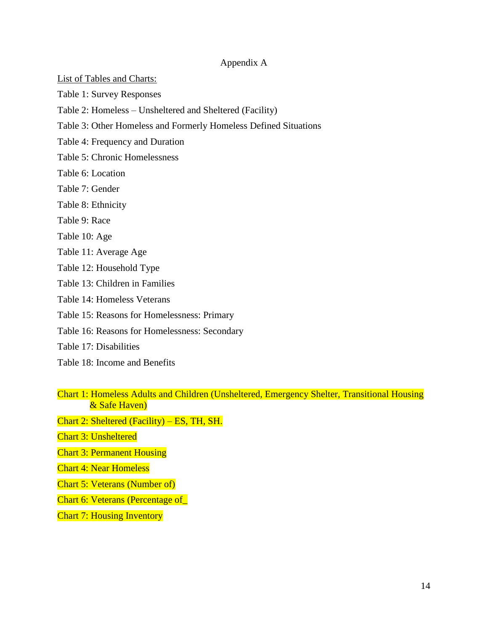#### Appendix A

List of Tables and Charts:

Table 1: Survey Responses

- Table 2: Homeless Unsheltered and Sheltered (Facility)
- Table 3: Other Homeless and Formerly Homeless Defined Situations
- Table 4: Frequency and Duration
- Table 5: Chronic Homelessness
- Table 6: Location
- Table 7: Gender
- Table 8: Ethnicity
- Table 9: Race
- Table 10: Age
- Table 11: Average Age
- Table 12: Household Type
- Table 13: Children in Families
- Table 14: Homeless Veterans
- Table 15: Reasons for Homelessness: Primary
- Table 16: Reasons for Homelessness: Secondary
- Table 17: Disabilities
- Table 18: Income and Benefits
- Chart 1: Homeless Adults and Children (Unsheltered, Emergency Shelter, Transitional Housing & Safe Haven)
- Chart 2: Sheltered (Facility) ES, TH, SH.
- Chart 3: Unsheltered
- Chart 3: Permanent Housing
- Chart 4: Near Homeless
- Chart 5: Veterans (Number of)
- Chart 6: Veterans (Percentage of\_
- Chart 7: Housing Inventory